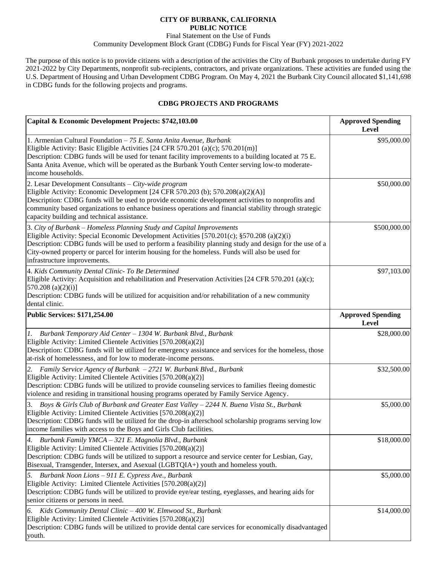## **CITY OF BURBANK, CALIFORNIA PUBLIC NOTICE**

## Final Statement on the Use of Funds Community Development Block Grant (CDBG) Funds for Fiscal Year (FY) 2021-2022

The purpose of this notice is to provide citizens with a description of the activities the City of Burbank proposes to undertake during FY 2021-2022 by City Departments, nonprofit sub-recipients, contractors, and private organizations. These activities are funded using the U.S. Department of Housing and Urban Development CDBG Program. On May 4, 2021 the Burbank City Council allocated \$1,141,698 in CDBG funds for the following projects and programs.

## **CDBG PROJECTS AND PROGRAMS**

| Capital & Economic Development Projects: \$742,103.00                                                                                                                                                                                                                                                                                                                                                              | <b>Approved Spending</b><br>Level        |
|--------------------------------------------------------------------------------------------------------------------------------------------------------------------------------------------------------------------------------------------------------------------------------------------------------------------------------------------------------------------------------------------------------------------|------------------------------------------|
| 1. Armenian Cultural Foundation $-75$ E. Santa Anita Avenue, Burbank<br>Eligible Activity: Basic Eligible Activities [24 CFR 570.201 (a)(c); 570.201(m)]<br>Description: CDBG funds will be used for tenant facility improvements to a building located at 75 E.<br>Santa Anita Avenue, which will be operated as the Burbank Youth Center serving low-to moderate-<br>income households.                          | \$95,000.00                              |
| 2. Lesar Development Consultants - City-wide program<br>Eligible Activity: Economic Development [24 CFR 570.203 (b); 570.208(a)(2)(A)]<br>Description: CDBG funds will be used to provide economic development activities to nonprofits and<br>community based organizations to enhance business operations and financial stability through strategic<br>capacity building and technical assistance.               | \$50,000.00                              |
| 3. City of Burbank - Homeless Planning Study and Capital Improvements<br>Eligible Activity: Special Economic Development Activities [570.201(c); §570.208 (a)(2)(i)<br>Description: CDBG funds will be used to perform a feasibility planning study and design for the use of a<br>City-owned property or parcel for interim housing for the homeless. Funds will also be used for<br>infrastructure improvements. | \$500,000.00                             |
| 4. Kids Community Dental Clinic- To Be Determined<br>Eligible Activity: Acquisition and rehabilitation and Preservation Activities [24 CFR 570.201 (a)(c);<br>570.208 (a) $(2)(i)$ ]<br>Description: CDBG funds will be utilized for acquisition and/or rehabilitation of a new community<br>dental clinic.                                                                                                        | \$97,103.00                              |
| <b>Public Services: \$171,254.00</b>                                                                                                                                                                                                                                                                                                                                                                               | <b>Approved Spending</b><br><b>Level</b> |
| 1.<br>Burbank Temporary Aid Center - 1304 W. Burbank Blvd., Burbank<br>Eligible Activity: Limited Clientele Activities [570.208(a)(2)]<br>Description: CDBG funds will be utilized for emergency assistance and services for the homeless, those<br>at-risk of homelessness, and for low to moderate-income persons.                                                                                               | \$28,000.00                              |
| 2.<br>Family Service Agency of Burbank - 2721 W. Burbank Blvd., Burbank<br>Eligible Activity: Limited Clientele Activities [570.208(a)(2)]<br>Description: CDBG funds will be utilized to provide counseling services to families fleeing domestic<br>violence and residing in transitional housing programs operated by Family Service Agency.                                                                    | \$32,500.00                              |
| Boys & Girls Club of Burbank and Greater East Valley - 2244 N. Buena Vista St., Burbank<br>3.<br>Eligible Activity: Limited Clientele Activities [570.208(a)(2)]<br>Description: CDBG funds will be utilized for the drop-in afterschool scholarship programs serving low<br>income families with access to the Boys and Girls Club facilities.                                                                    | \$5,000.00                               |
| Burbank Family YMCA - 321 E. Magnolia Blvd., Burbank<br>4.<br>Eligible Activity: Limited Clientele Activities [570.208(a)(2)]<br>Description: CDBG funds will be utilized to support a resource and service center for Lesbian, Gay,<br>Bisexual, Transgender, Intersex, and Asexual (LGBTQIA+) youth and homeless youth.                                                                                          | \$18,000.00                              |
| Burbank Noon Lions - 911 E. Cypress Ave., Burbank<br>5.<br>Eligible Activity: Limited Clientele Activities [570.208(a)(2)]<br>Description: CDBG funds will be utilized to provide eye/ear testing, eyeglasses, and hearing aids for<br>senior citizens or persons in need.                                                                                                                                         | \$5,000.00                               |
| Kids Community Dental Clinic - 400 W. Elmwood St., Burbank<br>6.<br>Eligible Activity: Limited Clientele Activities [570.208(a)(2)]<br>Description: CDBG funds will be utilized to provide dental care services for economically disadvantaged<br>youth.                                                                                                                                                           | \$14,000.00                              |